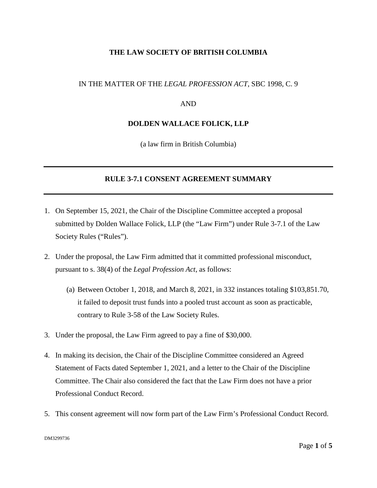# **THE LAW SOCIETY OF BRITISH COLUMBIA**

## IN THE MATTER OF THE *LEGAL PROFESSION ACT*, SBC 1998, C. 9

#### AND

### **DOLDEN WALLACE FOLICK, LLP**

(a law firm in British Columbia)

## **RULE 3-7.1 CONSENT AGREEMENT SUMMARY**

- 1. On September 15, 2021, the Chair of the Discipline Committee accepted a proposal submitted by Dolden Wallace Folick, LLP (the "Law Firm") under Rule 3-7.1 of the Law Society Rules ("Rules").
- 2. Under the proposal, the Law Firm admitted that it committed professional misconduct, pursuant to s. 38(4) of the *Legal Profession Act*, as follows:
	- (a) Between October 1, 2018, and March 8, 2021, in 332 instances totaling \$103,851.70, it failed to deposit trust funds into a pooled trust account as soon as practicable, contrary to Rule 3-58 of the Law Society Rules.
- 3. Under the proposal, the Law Firm agreed to pay a fine of \$30,000.
- 4. In making its decision, the Chair of the Discipline Committee considered an Agreed Statement of Facts dated September 1, 2021, and a letter to the Chair of the Discipline Committee. The Chair also considered the fact that the Law Firm does not have a prior Professional Conduct Record.
- 5. This consent agreement will now form part of the Law Firm's Professional Conduct Record.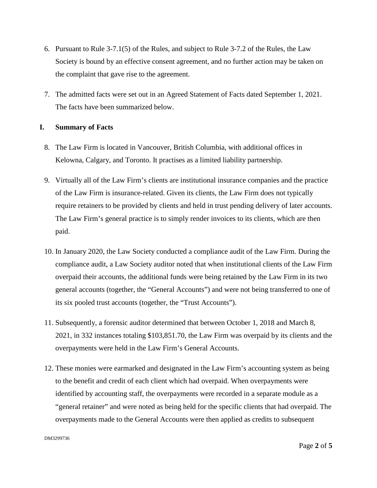- 6. Pursuant to Rule 3-7.1(5) of the Rules, and subject to Rule 3-7.2 of the Rules, the Law Society is bound by an effective consent agreement, and no further action may be taken on the complaint that gave rise to the agreement.
- 7. The admitted facts were set out in an Agreed Statement of Facts dated September 1, 2021. The facts have been summarized below.

# **I. Summary of Facts**

- 8. The Law Firm is located in Vancouver, British Columbia, with additional offices in Kelowna, Calgary, and Toronto. It practises as a limited liability partnership.
- 9. Virtually all of the Law Firm's clients are institutional insurance companies and the practice of the Law Firm is insurance-related. Given its clients, the Law Firm does not typically require retainers to be provided by clients and held in trust pending delivery of later accounts. The Law Firm's general practice is to simply render invoices to its clients, which are then paid.
- 10. In January 2020, the Law Society conducted a compliance audit of the Law Firm. During the compliance audit, a Law Society auditor noted that when institutional clients of the Law Firm overpaid their accounts, the additional funds were being retained by the Law Firm in its two general accounts (together, the "General Accounts") and were not being transferred to one of its six pooled trust accounts (together, the "Trust Accounts").
- 11. Subsequently, a forensic auditor determined that between October 1, 2018 and March 8, 2021, in 332 instances totaling \$103,851.70, the Law Firm was overpaid by its clients and the overpayments were held in the Law Firm's General Accounts.
- 12. These monies were earmarked and designated in the Law Firm's accounting system as being to the benefit and credit of each client which had overpaid. When overpayments were identified by accounting staff, the overpayments were recorded in a separate module as a "general retainer" and were noted as being held for the specific clients that had overpaid. The overpayments made to the General Accounts were then applied as credits to subsequent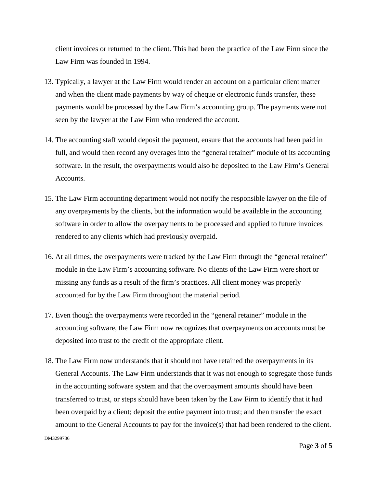client invoices or returned to the client. This had been the practice of the Law Firm since the Law Firm was founded in 1994.

- 13. Typically, a lawyer at the Law Firm would render an account on a particular client matter and when the client made payments by way of cheque or electronic funds transfer, these payments would be processed by the Law Firm's accounting group. The payments were not seen by the lawyer at the Law Firm who rendered the account.
- 14. The accounting staff would deposit the payment, ensure that the accounts had been paid in full, and would then record any overages into the "general retainer" module of its accounting software. In the result, the overpayments would also be deposited to the Law Firm's General Accounts.
- 15. The Law Firm accounting department would not notify the responsible lawyer on the file of any overpayments by the clients, but the information would be available in the accounting software in order to allow the overpayments to be processed and applied to future invoices rendered to any clients which had previously overpaid.
- 16. At all times, the overpayments were tracked by the Law Firm through the "general retainer" module in the Law Firm's accounting software. No clients of the Law Firm were short or missing any funds as a result of the firm's practices. All client money was properly accounted for by the Law Firm throughout the material period.
- 17. Even though the overpayments were recorded in the "general retainer" module in the accounting software, the Law Firm now recognizes that overpayments on accounts must be deposited into trust to the credit of the appropriate client.
- 18. The Law Firm now understands that it should not have retained the overpayments in its General Accounts. The Law Firm understands that it was not enough to segregate those funds in the accounting software system and that the overpayment amounts should have been transferred to trust, or steps should have been taken by the Law Firm to identify that it had been overpaid by a client; deposit the entire payment into trust; and then transfer the exact amount to the General Accounts to pay for the invoice(s) that had been rendered to the client.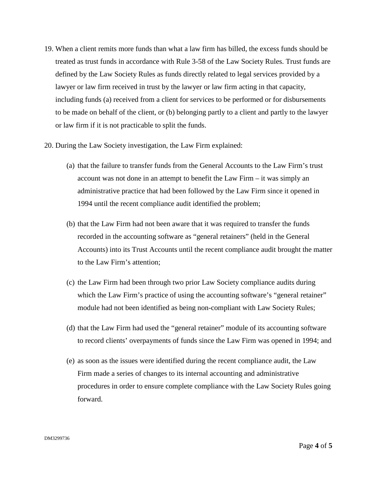- 19. When a client remits more funds than what a law firm has billed, the excess funds should be treated as trust funds in accordance with Rule 3-58 of the Law Society Rules. Trust funds are defined by the Law Society Rules as funds directly related to legal services provided by a lawyer or law firm received in trust by the lawyer or law firm acting in that capacity, including funds (a) received from a client for services to be performed or for disbursements to be made on behalf of the client, or (b) belonging partly to a client and partly to the lawyer or law firm if it is not practicable to split the funds.
- 20. During the Law Society investigation, the Law Firm explained:
	- (a) that the failure to transfer funds from the General Accounts to the Law Firm's trust account was not done in an attempt to benefit the Law Firm – it was simply an administrative practice that had been followed by the Law Firm since it opened in 1994 until the recent compliance audit identified the problem;
	- (b) that the Law Firm had not been aware that it was required to transfer the funds recorded in the accounting software as "general retainers" (held in the General Accounts) into its Trust Accounts until the recent compliance audit brought the matter to the Law Firm's attention;
	- (c) the Law Firm had been through two prior Law Society compliance audits during which the Law Firm's practice of using the accounting software's "general retainer" module had not been identified as being non-compliant with Law Society Rules;
	- (d) that the Law Firm had used the "general retainer" module of its accounting software to record clients' overpayments of funds since the Law Firm was opened in 1994; and
	- (e) as soon as the issues were identified during the recent compliance audit, the Law Firm made a series of changes to its internal accounting and administrative procedures in order to ensure complete compliance with the Law Society Rules going forward.